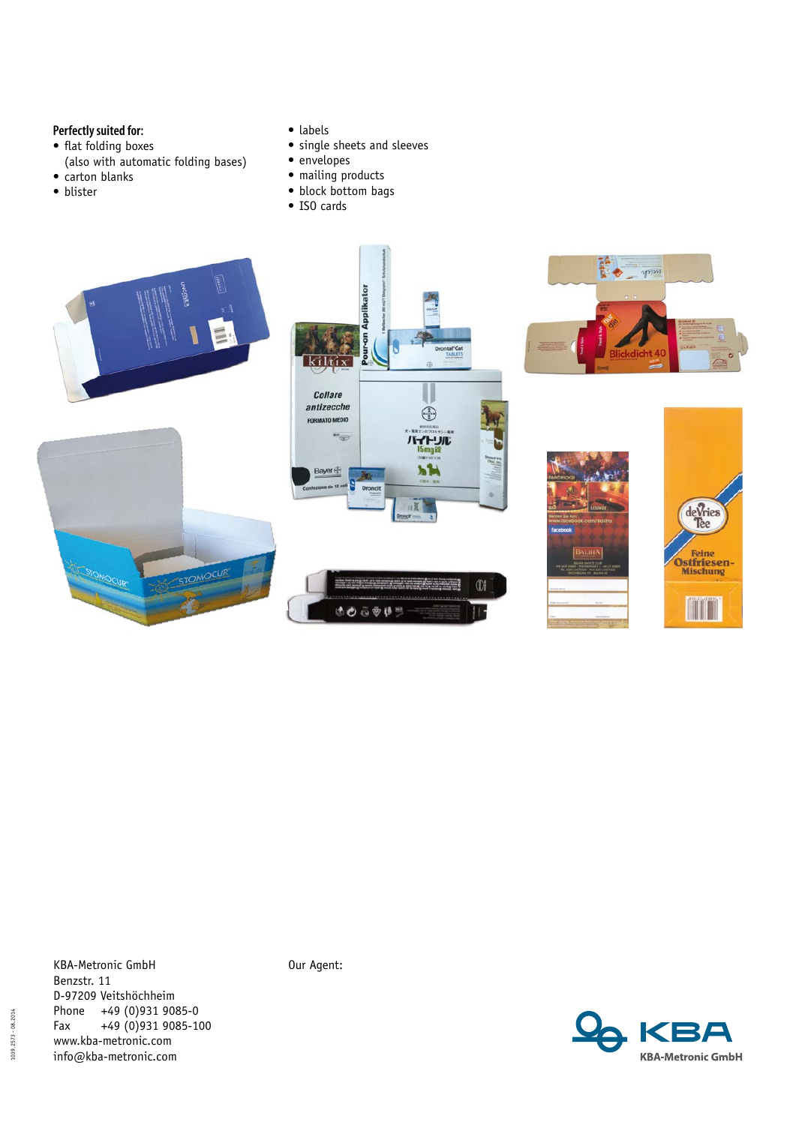## **Perfectly suited for:**

- flat folding boxes
- (also with automatic folding bases)
- carton blanks
- • blister
- • labels
- single sheets and sleeves
- envelopes
- mailing products
- • block bottom bags
- • ISO cards



KBA-Metronic GmbH Benzstr. 11 D-97209 Veitshöchheim Phone +49 (0)931 9085-0<br>Fax +49 (0)931 9085-1  $+49(0)9319085-100$ www.kba-metronic.com info@kba-metronic.com

Our Agent:

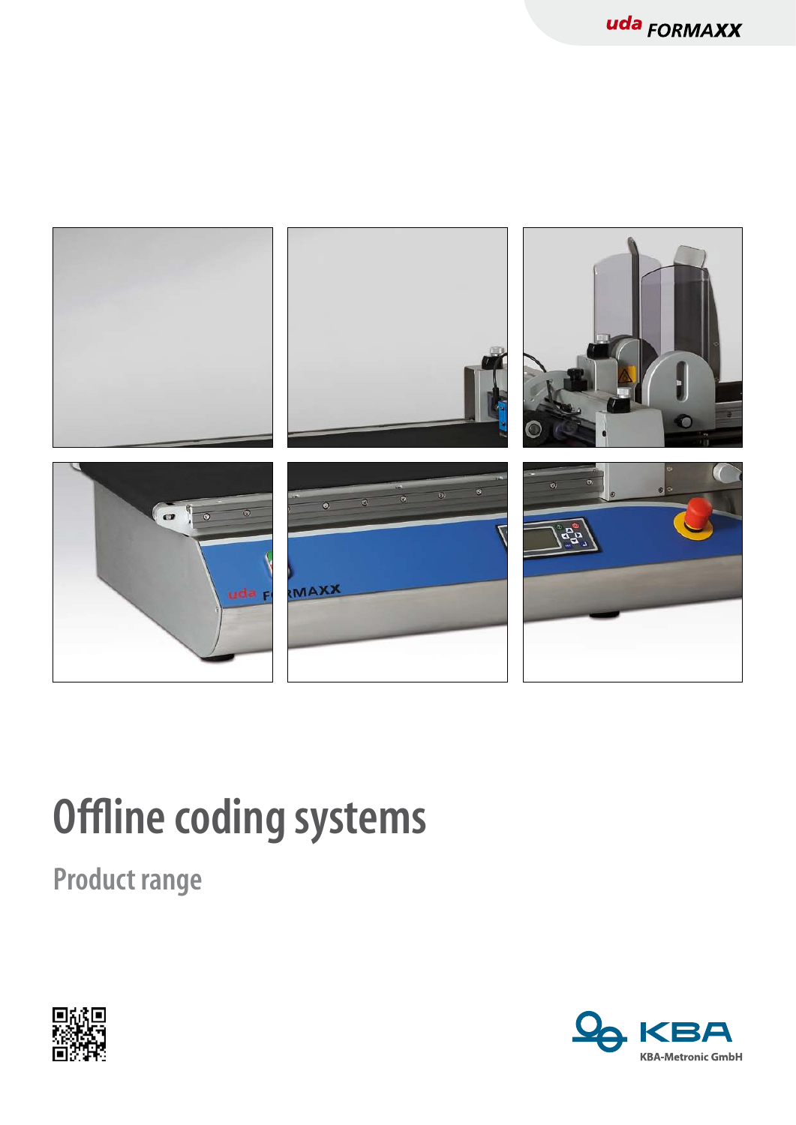

## **Offline coding systems**

**Product range** 



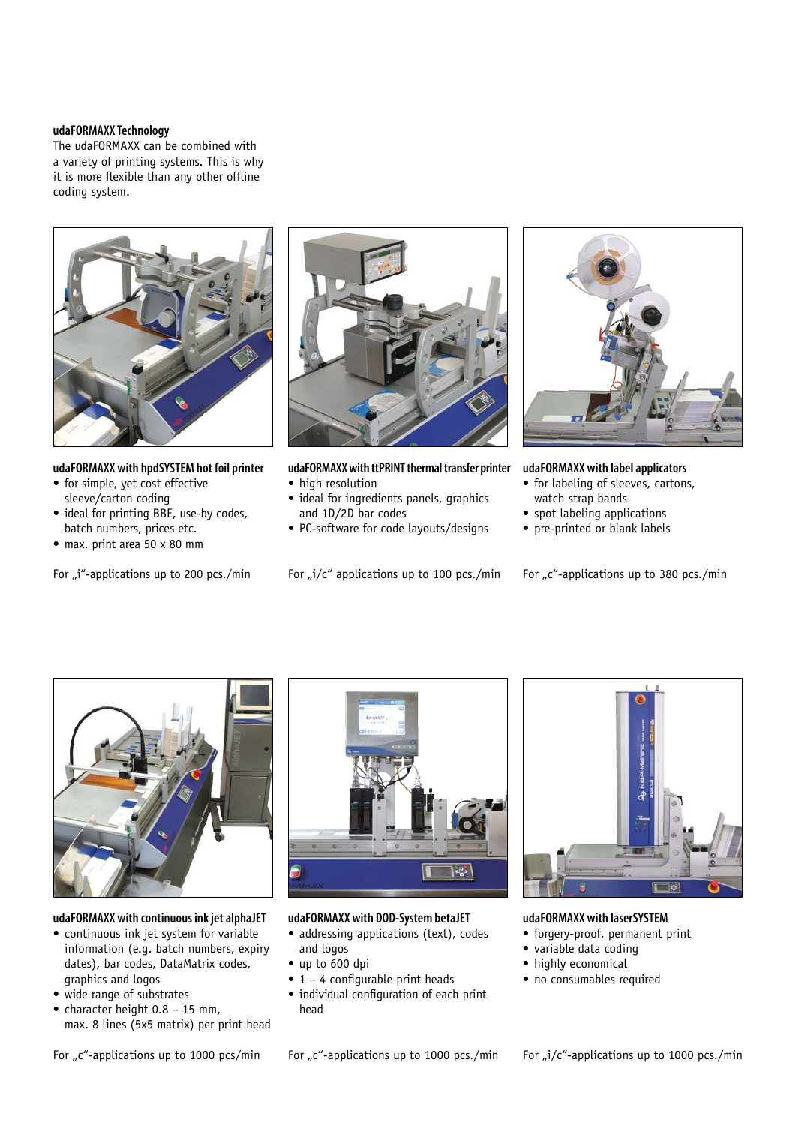## **udaFORMAXX Technology**

The udaFORMAXX can be combined with a variety of printing systems. This is why it is more flexible than any other offline coding system.



**udaFORMAXX with hpdSYSTEM hot foil printer** 

- for simple, yet cost effective sleeve/carton coding
- ideal for printing BBE, use-by codes, batch numbers, prices etc.
- max. print area 50 x 80 mm

For "i"-applications up to 200 pcs./min



**udaFORMAXX with ttPRINT thermal transfer printer** • high resolution

- ideal for ingredients panels, graphics and 1D/2D bar codes
- • PC-software for code layouts/designs

For  $\mu$ i/c" applications up to 100 pcs./min



**udaFORMAXX with label applicators** 

- for labeling of sleeves, cartons, watch strap bands
- • spot labeling applications
- pre-printed or blank labels

For " $c$ "-applications up to 380 pcs./min



**udaFORMAXX with continuous ink jet alphaJET** 

- continuous ink jet system for variable information (e.g. batch numbers, expiry dates), bar codes, DataMatrix codes, graphics and logos
- wide range of substrates
- character height  $0.8 15$  mm, max. 8 lines (5x5 matrix) per print head



**udaFORMAXX with DOD-System betaJET** 

- addressing applications (text), codes and logos
- • up to 600 dpi
- $\bullet$  1 4 configurable print heads
- • individual configuration of each print head



**udaFORMAXX with laserSYSTEM** 

- forgery-proof, permanent print
- • variable data coding
- highly economical
- no consumables required

For  $C^*$ -applications up to 1000 pcs/min